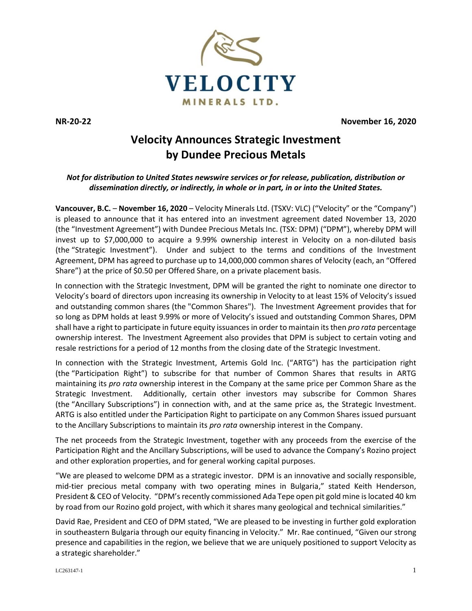

**NR-20-22 November 16, 2020**

# **Velocity Announces Strategic Investment by Dundee Precious Metals**

## *Not for distribution to United States newswire services or for release, publication, distribution or dissemination directly, or indirectly, in whole or in part, in or into the United States.*

**Vancouver, B.C.** – **November 16, 2020** – Velocity Minerals Ltd. (TSXV: VLC) ("Velocity" or the "Company") is pleased to announce that it has entered into an investment agreement dated November 13, 2020 (the "Investment Agreement") with Dundee Precious Metals Inc. (TSX: DPM) ("DPM"), whereby DPM will invest up to \$7,000,000 to acquire a 9.99% ownership interest in Velocity on a non-diluted basis (the "Strategic Investment"). Under and subject to the terms and conditions of the Investment Agreement, DPM has agreed to purchase up to 14,000,000 common shares of Velocity (each, an "Offered Share") at the price of \$0.50 per Offered Share, on a private placement basis.

In connection with the Strategic Investment, DPM will be granted the right to nominate one director to Velocity's board of directors upon increasing its ownership in Velocity to at least 15% of Velocity's issued and outstanding common shares (the "Common Shares"). The Investment Agreement provides that for so long as DPM holds at least 9.99% or more of Velocity's issued and outstanding Common Shares, DPM shall have a right to participate in future equity issuances in order to maintain its then *pro rata* percentage ownership interest. The Investment Agreement also provides that DPM is subject to certain voting and resale restrictions for a period of 12 months from the closing date of the Strategic Investment.

In connection with the Strategic Investment, Artemis Gold Inc. ("ARTG") has the participation right (the "Participation Right") to subscribe for that number of Common Shares that results in ARTG maintaining its *pro rata* ownership interest in the Company at the same price per Common Share as the Strategic Investment. Additionally, certain other investors may subscribe for Common Shares (the "Ancillary Subscriptions") in connection with, and at the same price as, the Strategic Investment. ARTG is also entitled under the Participation Right to participate on any Common Shares issued pursuant to the Ancillary Subscriptions to maintain its *pro rata* ownership interest in the Company.

The net proceeds from the Strategic Investment, together with any proceeds from the exercise of the Participation Right and the Ancillary Subscriptions, will be used to advance the Company's Rozino project and other exploration properties, and for general working capital purposes.

"We are pleased to welcome DPM as a strategic investor. DPM is an innovative and socially responsible, mid-tier precious metal company with two operating mines in Bulgaria," stated Keith Henderson, President & CEO of Velocity. "DPM's recently commissioned Ada Tepe open pit gold mine is located 40 km by road from our Rozino gold project, with which it shares many geological and technical similarities."

David Rae, President and CEO of DPM stated, "We are pleased to be investing in further gold exploration in southeastern Bulgaria through our equity financing in Velocity." Mr. Rae continued, "Given our strong presence and capabilities in the region, we believe that we are uniquely positioned to support Velocity as a strategic shareholder."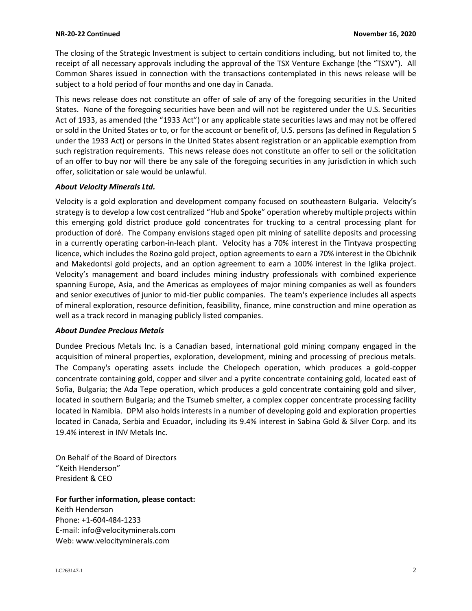The closing of the Strategic Investment is subject to certain conditions including, but not limited to, the receipt of all necessary approvals including the approval of the TSX Venture Exchange (the "TSXV"). All Common Shares issued in connection with the transactions contemplated in this news release will be subject to a hold period of four months and one day in Canada.

This news release does not constitute an offer of sale of any of the foregoing securities in the United States. None of the foregoing securities have been and will not be registered under the U.S. Securities Act of 1933, as amended (the "1933 Act") or any applicable state securities laws and may not be offered or sold in the United States or to, or for the account or benefit of, U.S. persons (as defined in Regulation S under the 1933 Act) or persons in the United States absent registration or an applicable exemption from such registration requirements. This news release does not constitute an offer to sell or the solicitation of an offer to buy nor will there be any sale of the foregoing securities in any jurisdiction in which such offer, solicitation or sale would be unlawful.

#### *About Velocity Minerals Ltd.*

Velocity is a gold exploration and development company focused on southeastern Bulgaria. Velocity's strategy is to develop a low cost centralized "Hub and Spoke" operation whereby multiple projects within this emerging gold district produce gold concentrates for trucking to a central processing plant for production of doré. The Company envisions staged open pit mining of satellite deposits and processing in a currently operating carbon-in-leach plant. Velocity has a 70% interest in the Tintyava prospecting licence, which includes the Rozino gold project, option agreements to earn a 70% interest in the Obichnik and Makedontsi gold projects, and an option agreement to earn a 100% interest in the Iglika project. Velocity's management and board includes mining industry professionals with combined experience spanning Europe, Asia, and the Americas as employees of major mining companies as well as founders and senior executives of junior to mid-tier public companies. The team's experience includes all aspects of mineral exploration, resource definition, feasibility, finance, mine construction and mine operation as well as a track record in managing publicly listed companies.

## *About Dundee Precious Metals*

Dundee Precious Metals Inc. is a Canadian based, international gold mining company engaged in the acquisition of mineral properties, exploration, development, mining and processing of precious metals. The Company's operating assets include the Chelopech operation, which produces a gold-copper concentrate containing gold, copper and silver and a pyrite concentrate containing gold, located east of Sofia, Bulgaria; the Ada Tepe operation, which produces a gold concentrate containing gold and silver, located in southern Bulgaria; and the Tsumeb smelter, a complex copper concentrate processing facility located in Namibia. DPM also holds interests in a number of developing gold and exploration properties located in Canada, Serbia and Ecuador, including its 9.4% interest in Sabina Gold & Silver Corp. and its 19.4% interest in INV Metals Inc.

On Behalf of the Board of Directors "Keith Henderson" President & CEO

#### **For further information, please contact:**

Keith Henderson Phone: +1-604-484-1233 E-mail: [info@velocityminerals.com](mailto:info@velocityminerals.com) Web: [www.velocityminerals.com](http://www.velocityminerals.com/)